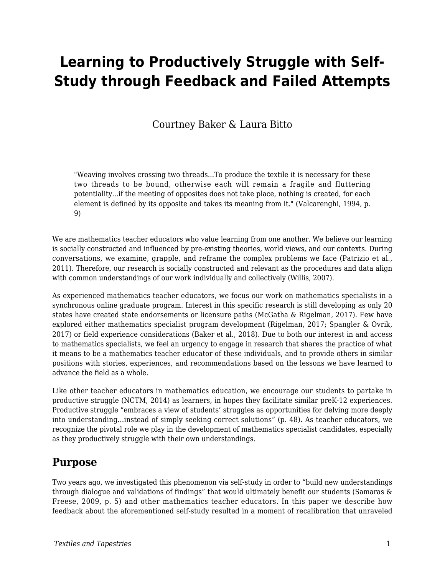# **Learning to Productively Struggle with Self-Study through Feedback and Failed Attempts**

Courtney Baker & Laura Bitto

"Weaving involves crossing two threads...To produce the textile it is necessary for these two threads to be bound, otherwise each will remain a fragile and fluttering potentiality...if the meeting of opposites does not take place, nothing is created, for each element is defined by its opposite and takes its meaning from it." (Valcarenghi, 1994, p. 9)

We are mathematics teacher educators who value learning from one another. We believe our learning is socially constructed and influenced by pre-existing theories, world views, and our contexts. During conversations, we examine, grapple, and reframe the complex problems we face (Patrizio et al., 2011). Therefore, our research is socially constructed and relevant as the procedures and data align with common understandings of our work individually and collectively (Willis, 2007).

As experienced mathematics teacher educators, we focus our work on mathematics specialists in a synchronous online graduate program. Interest in this specific research is still developing as only 20 states have created state endorsements or licensure paths (McGatha & Rigelman, 2017). Few have explored either mathematics specialist program development (Rigelman, 2017; Spangler & Ovrik, 2017) or field experience considerations (Baker et al., 2018). Due to both our interest in and access to mathematics specialists, we feel an urgency to engage in research that shares the practice of what it means to be a mathematics teacher educator of these individuals, and to provide others in similar positions with stories, experiences, and recommendations based on the lessons we have learned to advance the field as a whole.

Like other teacher educators in mathematics education, we encourage our students to partake in productive struggle (NCTM, 2014) as learners, in hopes they facilitate similar preK-12 experiences. Productive struggle "embraces a view of students' struggles as opportunities for delving more deeply into understanding...instead of simply seeking correct solutions" (p. 48). As teacher educators, we recognize the pivotal role we play in the development of mathematics specialist candidates, especially as they productively struggle with their own understandings.

#### **Purpose**

Two years ago, we investigated this phenomenon via self-study in order to "build new understandings through dialogue and validations of findings" that would ultimately benefit our students (Samaras & Freese, 2009, p. 5) and other mathematics teacher educators. In this paper we describe how feedback about the aforementioned self-study resulted in a moment of recalibration that unraveled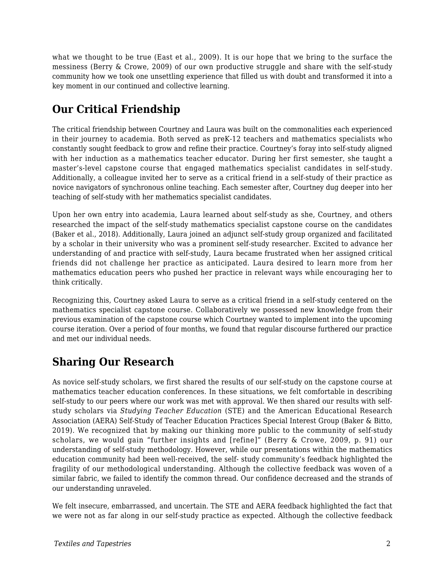what we thought to be true (East et al., 2009). It is our hope that we bring to the surface the messiness (Berry & Crowe, 2009) of our own productive struggle and share with the self-study community how we took one unsettling experience that filled us with doubt and transformed it into a key moment in our continued and collective learning.

## **Our Critical Friendship**

The critical friendship between Courtney and Laura was built on the commonalities each experienced in their journey to academia. Both served as preK-12 teachers and mathematics specialists who constantly sought feedback to grow and refine their practice. Courtney's foray into self-study aligned with her induction as a mathematics teacher educator. During her first semester, she taught a master's-level capstone course that engaged mathematics specialist candidates in self-study. Additionally, a colleague invited her to serve as a critical friend in a self-study of their practice as novice navigators of synchronous online teaching. Each semester after, Courtney dug deeper into her teaching of self-study with her mathematics specialist candidates.

Upon her own entry into academia, Laura learned about self-study as she, Courtney, and others researched the impact of the self-study mathematics specialist capstone course on the candidates (Baker et al., 2018). Additionally, Laura joined an adjunct self-study group organized and facilitated by a scholar in their university who was a prominent self-study researcher. Excited to advance her understanding of and practice with self-study, Laura became frustrated when her assigned critical friends did not challenge her practice as anticipated. Laura desired to learn more from her mathematics education peers who pushed her practice in relevant ways while encouraging her to think critically.

Recognizing this, Courtney asked Laura to serve as a critical friend in a self-study centered on the mathematics specialist capstone course. Collaboratively we possessed new knowledge from their previous examination of the capstone course which Courtney wanted to implement into the upcoming course iteration. Over a period of four months, we found that regular discourse furthered our practice and met our individual needs.

### **Sharing Our Research**

As novice self-study scholars, we first shared the results of our self-study on the capstone course at mathematics teacher education conferences. In these situations, we felt comfortable in describing self-study to our peers where our work was met with approval. We then shared our results with selfstudy scholars via *Studying Teacher Education* (STE) and the American Educational Research Association (AERA) Self-Study of Teacher Education Practices Special Interest Group (Baker & Bitto, 2019). We recognized that by making our thinking more public to the community of self-study scholars, we would gain "further insights and [refine]" (Berry & Crowe, 2009, p. 91) our understanding of self-study methodology. However, while our presentations within the mathematics education community had been well-received, the self- study community's feedback highlighted the fragility of our methodological understanding. Although the collective feedback was woven of a similar fabric, we failed to identify the common thread. Our confidence decreased and the strands of our understanding unraveled.

We felt insecure, embarrassed, and uncertain. The STE and AERA feedback highlighted the fact that we were not as far along in our self-study practice as expected. Although the collective feedback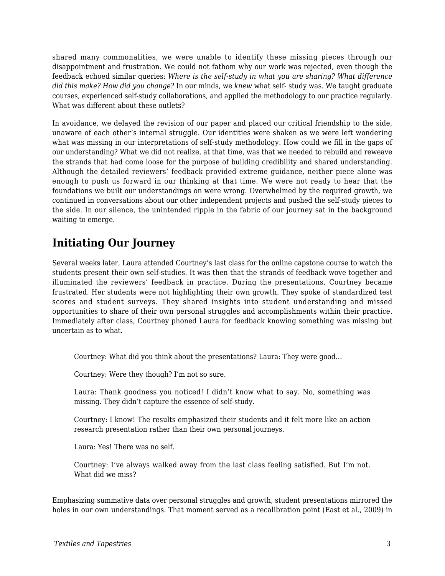shared many commonalities, we were unable to identify these missing pieces through our disappointment and frustration. We could not fathom why our work was rejected, even though the feedback echoed similar queries: *Where is the self-study in what you are sharing? What difference did this make? How did you change?* In our minds, we *knew* what self- study was. We taught graduate courses, experienced self-study collaborations, and applied the methodology to our practice regularly. What was different about these outlets?

In avoidance, we delayed the revision of our paper and placed our critical friendship to the side, unaware of each other's internal struggle. Our identities were shaken as we were left wondering what was missing in our interpretations of self-study methodology. How could we fill in the gaps of our understanding? What we did not realize, at that time, was that we needed to rebuild and reweave the strands that had come loose for the purpose of building credibility and shared understanding. Although the detailed reviewers' feedback provided extreme guidance, neither piece alone was enough to push us forward in our thinking at that time. We were not ready to hear that the foundations we built our understandings on were wrong. Overwhelmed by the required growth, we continued in conversations about our other independent projects and pushed the self-study pieces to the side. In our silence, the unintended ripple in the fabric of our journey sat in the background waiting to emerge.

## **Initiating Our Journey**

Several weeks later, Laura attended Courtney's last class for the online capstone course to watch the students present their own self-studies. It was then that the strands of feedback wove together and illuminated the reviewers' feedback in practice. During the presentations, Courtney became frustrated. Her students were not highlighting their own growth. They spoke of standardized test scores and student surveys. They shared insights into student understanding and missed opportunities to share of their own personal struggles and accomplishments within their practice. Immediately after class, Courtney phoned Laura for feedback knowing something was missing but uncertain as to what.

Courtney: What did you think about the presentations? Laura: They were good…

Courtney: Were they though? I'm not so sure.

Laura: Thank goodness you noticed! I didn't know what to say. No, something was missing. They didn't capture the essence of self-study.

Courtney: I know! The results emphasized their students and it felt more like an action research presentation rather than their own personal journeys.

Laura: Yes! There was no self.

Courtney: I've always walked away from the last class feeling satisfied. But I'm not. What did we miss?

Emphasizing summative data over personal struggles and growth, student presentations mirrored the holes in our own understandings. That moment served as a recalibration point (East et al., 2009) in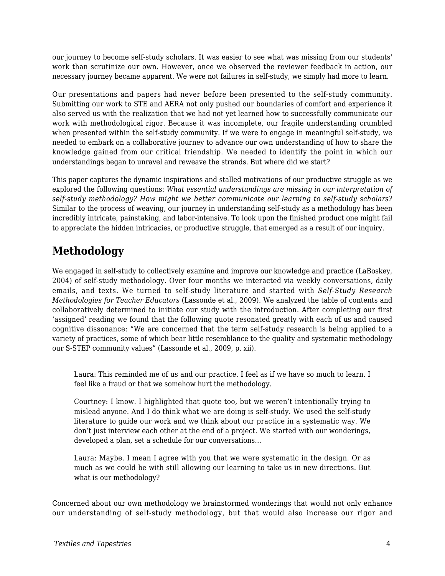our journey to become self-study scholars. It was easier to see what was missing from our students' work than scrutinize our own. However, once we observed the reviewer feedback in action, our necessary journey became apparent. We were not failures in self-study, we simply had more to learn.

Our presentations and papers had never before been presented to the self-study community. Submitting our work to STE and AERA not only pushed our boundaries of comfort and experience it also served us with the realization that we had not yet learned how to successfully communicate our work with methodological rigor. Because it was incomplete, our fragile understanding crumbled when presented within the self-study community. If we were to engage in meaningful self-study, we needed to embark on a collaborative journey to advance our own understanding of how to share the knowledge gained from our critical friendship. We needed to identify the point in which our understandings began to unravel and reweave the strands. But where did we start?

This paper captures the dynamic inspirations and stalled motivations of our productive struggle as we explored the following questions: *What essential understandings are missing in our interpretation of self-study methodology? How might we better communicate our learning to self-study scholars?* Similar to the process of weaving, our journey in understanding self-study as a methodology has been incredibly intricate, painstaking, and labor-intensive. To look upon the finished product one might fail to appreciate the hidden intricacies, or productive struggle, that emerged as a result of our inquiry.

## **Methodology**

We engaged in self-study to collectively examine and improve our knowledge and practice (LaBoskey, 2004) of self-study methodology. Over four months we interacted via weekly conversations, daily emails, and texts. We turned to self-study literature and started with *Self-Study Research Methodologies for Teacher Educators* (Lassonde et al., 2009). We analyzed the table of contents and collaboratively determined to initiate our study with the introduction. After completing our first 'assigned' reading we found that the following quote resonated greatly with each of us and caused cognitive dissonance: "We are concerned that the term self-study research is being applied to a variety of practices, some of which bear little resemblance to the quality and systematic methodology our S-STEP community values" (Lassonde et al., 2009, p. xii).

Laura: This reminded me of us and our practice. I feel as if we have so much to learn. I feel like a fraud or that we somehow hurt the methodology.

Courtney: I know. I highlighted that quote too, but we weren't intentionally trying to mislead anyone. And I do think what we are doing is self-study. We used the self-study literature to guide our work and we think about our practice in a systematic way. We don't just interview each other at the end of a project. We started with our wonderings, developed a plan, set a schedule for our conversations…

Laura: Maybe. I mean I agree with you that we were systematic in the design. Or as much as we could be with still allowing our learning to take us in new directions. But what is our methodology?

Concerned about our own methodology we brainstormed wonderings that would not only enhance our understanding of self-study methodology, but that would also increase our rigor and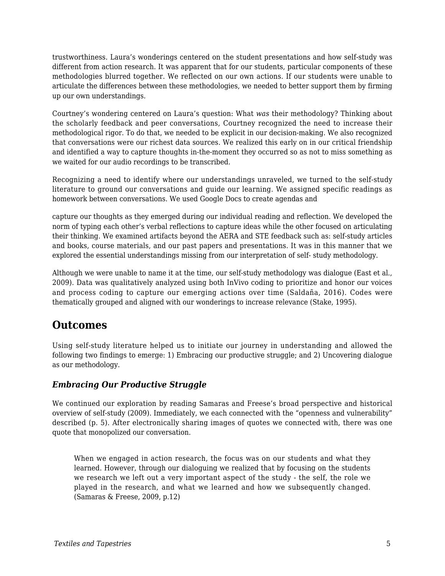trustworthiness. Laura's wonderings centered on the student presentations and how self-study was different from action research. It was apparent that for our students, particular components of these methodologies blurred together. We reflected on our own actions. If our students were unable to articulate the differences between these methodologies, we needed to better support them by firming up our own understandings.

Courtney's wondering centered on Laura's question: What *was* their methodology? Thinking about the scholarly feedback and peer conversations, Courtney recognized the need to increase their methodological rigor. To do that, we needed to be explicit in our decision-making. We also recognized that conversations were our richest data sources. We realized this early on in our critical friendship and identified a way to capture thoughts in-the-moment they occurred so as not to miss something as we waited for our audio recordings to be transcribed.

Recognizing a need to identify where our understandings unraveled, we turned to the self-study literature to ground our conversations and guide our learning. We assigned specific readings as homework between conversations. We used Google Docs to create agendas and

capture our thoughts as they emerged during our individual reading and reflection. We developed the norm of typing each other's verbal reflections to capture ideas while the other focused on articulating their thinking. We examined artifacts beyond the AERA and STE feedback such as: self-study articles and books, course materials, and our past papers and presentations. It was in this manner that we explored the essential understandings missing from our interpretation of self- study methodology.

Although we were unable to name it at the time, our self-study methodology was dialogue (East et al., 2009). Data was qualitatively analyzed using both InVivo coding to prioritize and honor our voices and process coding to capture our emerging actions over time (Saldaña, 2016). Codes were thematically grouped and aligned with our wonderings to increase relevance (Stake, 1995).

### **Outcomes**

Using self-study literature helped us to initiate our journey in understanding and allowed the following two findings to emerge: 1) Embracing our productive struggle; and 2) Uncovering dialogue as our methodology.

#### *Embracing Our Productive Struggle*

We continued our exploration by reading Samaras and Freese's broad perspective and historical overview of self-study (2009). Immediately, we each connected with the "openness and vulnerability" described (p. 5). After electronically sharing images of quotes we connected with, there was one quote that monopolized our conversation.

When we engaged in action research, the focus was on our students and what they learned. However, through our dialoguing we realized that by focusing on the students we research we left out a very important aspect of the study - the self, the role we played in the research, and what we learned and how we subsequently changed. (Samaras & Freese, 2009, p.12)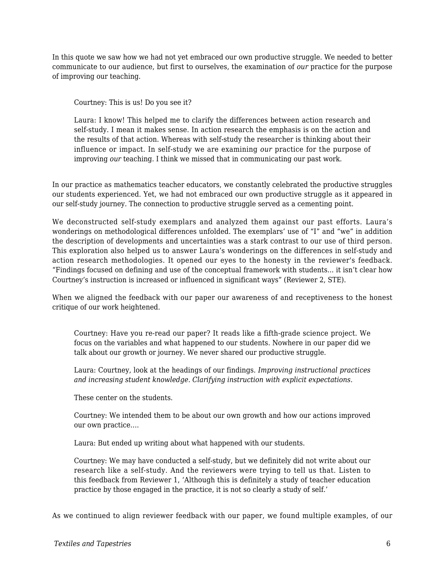In this quote we saw how we had not yet embraced our own productive struggle. We needed to better communicate to our audience, but first to ourselves, the examination of *our* practice for the purpose of improving our teaching.

Courtney: This is us! Do you see it?

Laura: I know! This helped me to clarify the differences between action research and self-study. I mean it makes sense. In action research the emphasis is on the action and the results of that action. Whereas with self-study the researcher is thinking about their influence or impact. In self-study we are examining *our* practice for the purpose of improving *our* teaching. I think we missed that in communicating our past work.

In our practice as mathematics teacher educators, we constantly celebrated the productive struggles our students experienced. Yet, we had not embraced our own productive struggle as it appeared in our self-study journey. The connection to productive struggle served as a cementing point.

We deconstructed self-study exemplars and analyzed them against our past efforts. Laura's wonderings on methodological differences unfolded. The exemplars' use of "I" and "we" in addition the description of developments and uncertainties was a stark contrast to our use of third person. This exploration also helped us to answer Laura's wonderings on the differences in self-study and action research methodologies. It opened our eyes to the honesty in the reviewer's feedback. "Findings focused on defining and use of the conceptual framework with students... it isn't clear how Courtney's instruction is increased or influenced in significant ways" (Reviewer 2, STE).

When we aligned the feedback with our paper our awareness of and receptiveness to the honest critique of our work heightened.

Courtney: Have you re-read our paper? It reads like a fifth-grade science project. We focus on the variables and what happened to our students. Nowhere in our paper did we talk about our growth or journey. We never shared our productive struggle.

Laura: Courtney, look at the headings of our findings. *Improving instructional practices and increasing student knowledge. Clarifying instruction with explicit expectations.*

These center on the students.

Courtney: We intended them to be about our own growth and how our actions improved our own practice….

Laura: But ended up writing about what happened with our students.

Courtney: We may have conducted a self-study, but we definitely did not write about our research like a self-study. And the reviewers were trying to tell us that. Listen to this feedback from Reviewer 1, 'Although this is definitely a study of teacher education practice by those engaged in the practice, it is not so clearly a study of self.'

As we continued to align reviewer feedback with our paper, we found multiple examples, of our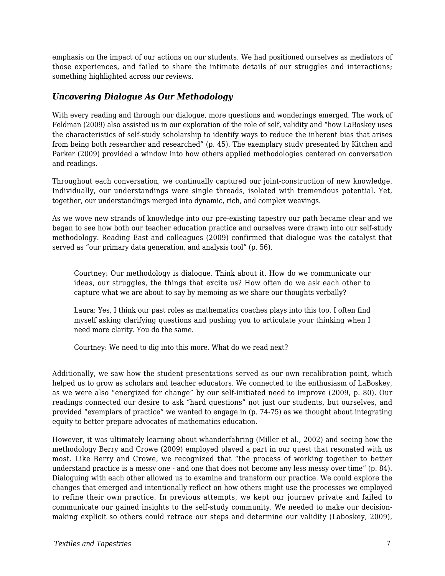emphasis on the impact of our actions on our students. We had positioned ourselves as mediators of those experiences, and failed to share the intimate details of our struggles and interactions; something highlighted across our reviews.

#### *Uncovering Dialogue As Our Methodology*

With every reading and through our dialogue, more questions and wonderings emerged. The work of Feldman (2009) also assisted us in our exploration of the role of self, validity and "how LaBoskey uses the characteristics of self-study scholarship to identify ways to reduce the inherent bias that arises from being both researcher and researched" (p. 45). The exemplary study presented by Kitchen and Parker (2009) provided a window into how others applied methodologies centered on conversation and readings.

Throughout each conversation, we continually captured our joint-construction of new knowledge. Individually, our understandings were single threads, isolated with tremendous potential. Yet, together, our understandings merged into dynamic, rich, and complex weavings.

As we wove new strands of knowledge into our pre-existing tapestry our path became clear and we began to see how both our teacher education practice and ourselves were drawn into our self-study methodology. Reading East and colleagues (2009) confirmed that dialogue was the catalyst that served as "our primary data generation, and analysis tool" (p. 56).

Courtney: Our methodology is dialogue. Think about it. How do we communicate our ideas, our struggles, the things that excite us? How often do we ask each other to capture what we are about to say by memoing as we share our thoughts verbally?

Laura: Yes, I think our past roles as mathematics coaches plays into this too. I often find myself asking clarifying questions and pushing you to articulate your thinking when I need more clarity. You do the same.

Courtney: We need to dig into this more. What do we read next?

Additionally, we saw how the student presentations served as our own recalibration point, which helped us to grow as scholars and teacher educators. We connected to the enthusiasm of LaBoskey, as we were also "energized for change" by our self-initiated need to improve (2009, p. 80). Our readings connected our desire to ask "hard questions" not just our students, but ourselves, and provided "exemplars of practice" we wanted to engage in (p. 74-75) as we thought about integrating equity to better prepare advocates of mathematics education.

However, it was ultimately learning about whanderfahring (Miller et al., 2002) and seeing how the methodology Berry and Crowe (2009) employed played a part in our quest that resonated with us most. Like Berry and Crowe, we recognized that "the process of working together to better understand practice is a messy one - and one that does not become any less messy over time" (p. 84). Dialoguing with each other allowed us to examine and transform our practice. We could explore the changes that emerged and intentionally reflect on how others might use the processes we employed to refine their own practice. In previous attempts, we kept our journey private and failed to communicate our gained insights to the self-study community. We needed to make our decisionmaking explicit so others could retrace our steps and determine our validity (Laboskey, 2009),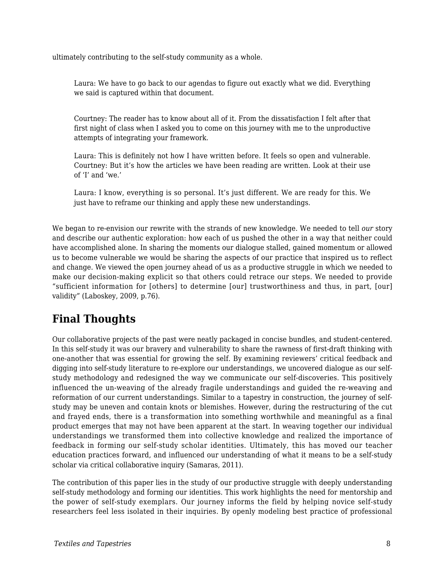ultimately contributing to the self-study community as a whole.

Laura: We have to go back to our agendas to figure out exactly what we did. Everything we said is captured within that document.

Courtney: The reader has to know about all of it. From the dissatisfaction I felt after that first night of class when I asked you to come on this journey with me to the unproductive attempts of integrating your framework.

Laura: This is definitely not how I have written before. It feels so open and vulnerable. Courtney: But it's how the articles we have been reading are written. Look at their use of 'I' and 'we.'

Laura: I know, everything is so personal. It's just different. We are ready for this. We just have to reframe our thinking and apply these new understandings.

We began to re-envision our rewrite with the strands of new knowledge. We needed to tell *our* story and describe our authentic exploration: how each of us pushed the other in a way that neither could have accomplished alone. In sharing the moments our dialogue stalled, gained momentum or allowed us to become vulnerable we would be sharing the aspects of our practice that inspired us to reflect and change. We viewed the open journey ahead of us as a productive struggle in which we needed to make our decision-making explicit so that others could retrace our steps. We needed to provide "sufficient information for [others] to determine [our] trustworthiness and thus, in part, [our] validity" (Laboskey, 2009, p.76).

### **Final Thoughts**

Our collaborative projects of the past were neatly packaged in concise bundles, and student-centered. In this self-study it was our bravery and vulnerability to share the rawness of first-draft thinking with one-another that was essential for growing the self. By examining reviewers' critical feedback and digging into self-study literature to re-explore our understandings, we uncovered dialogue as our selfstudy methodology and redesigned the way we communicate our self-discoveries. This positively influenced the un-weaving of the already fragile understandings and guided the re-weaving and reformation of our current understandings. Similar to a tapestry in construction, the journey of selfstudy may be uneven and contain knots or blemishes. However, during the restructuring of the cut and frayed ends, there is a transformation into something worthwhile and meaningful as a final product emerges that may not have been apparent at the start. In weaving together our individual understandings we transformed them into collective knowledge and realized the importance of feedback in forming our self-study scholar identities. Ultimately, this has moved our teacher education practices forward, and influenced our understanding of what it means to be a self-study scholar via critical collaborative inquiry (Samaras, 2011).

The contribution of this paper lies in the study of our productive struggle with deeply understanding self-study methodology and forming our identities. This work highlights the need for mentorship and the power of self-study exemplars. Our journey informs the field by helping novice self-study researchers feel less isolated in their inquiries. By openly modeling best practice of professional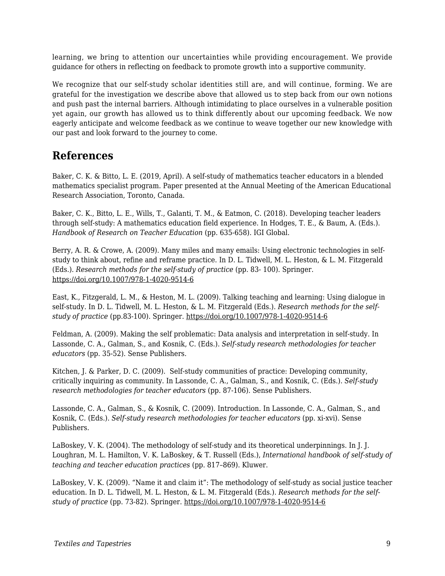learning, we bring to attention our uncertainties while providing encouragement. We provide guidance for others in reflecting on feedback to promote growth into a supportive community.

We recognize that our self-study scholar identities still are, and will continue, forming. We are grateful for the investigation we describe above that allowed us to step back from our own notions and push past the internal barriers. Although intimidating to place ourselves in a vulnerable position yet again, our growth has allowed us to think differently about our upcoming feedback. We now eagerly anticipate and welcome feedback as we continue to weave together our new knowledge with our past and look forward to the journey to come.

#### **References**

Baker, C. K. & Bitto, L. E. (2019, April). A self-study of mathematics teacher educators in a blended mathematics specialist program. Paper presented at the Annual Meeting of the American Educational Research Association, Toronto, Canada.

Baker, C. K., Bitto, L. E., Wills, T., Galanti, T. M., & Eatmon, C. (2018). Developing teacher leaders through self-study: A mathematics education field experience. In Hodges, T. E., & Baum, A. (Eds.). *Handbook of Research on Teacher Education* (pp. 635-658). IGI Global.

Berry, A. R. & Crowe, A. (2009). Many miles and many emails: Using electronic technologies in selfstudy to think about, refine and reframe practice. In D. L. Tidwell, M. L. Heston, & L. M. Fitzgerald (Eds.). *Research methods for the self-study of practice* (pp. 83- 100). Springer. https://doi.org/10.1007/978-1-4020-9514-6

East, K., Fitzgerald, L. M., & Heston, M. L. (2009). Talking teaching and learning: Using dialogue in self-study. In D. L. Tidwell, M. L. Heston, & L. M. Fitzgerald (Eds.). *Research methods for the selfstudy of practice* (pp.83-100). Springer. https://doi.org/10.1007/978-1-4020-9514-6

Feldman, A. (2009). Making the self problematic: Data analysis and interpretation in self-study. In Lassonde, C. A., Galman, S., and Kosnik, C. (Eds.). *Self-study research methodologies for teacher educators* (pp. 35-52). Sense Publishers.

Kitchen, J. & Parker, D. C. (2009). Self-study communities of practice: Developing community, critically inquiring as community. In Lassonde, C. A., Galman, S., and Kosnik, C. (Eds.). *Self-study research methodologies for teacher educators* (pp. 87-106). Sense Publishers.

Lassonde, C. A., Galman, S., & Kosnik, C. (2009). Introduction. In Lassonde, C. A., Galman, S., and Kosnik, C. (Eds.). *Self-study research methodologies for teacher educators* (pp. xi-xvi). Sense Publishers.

LaBoskey, V. K. (2004). The methodology of self-study and its theoretical underpinnings. In J. J. Loughran, M. L. Hamilton, V. K. LaBoskey, & T. Russell (Eds.), *International handbook of self-study of teaching and teacher education practices* (pp. 817–869). Kluwer.

LaBoskey, V. K. (2009). "Name it and claim it": The methodology of self-study as social justice teacher education. In D. L. Tidwell, M. L. Heston, & L. M. Fitzgerald (Eds.). *Research methods for the selfstudy of practice* (pp. 73-82). Springer. https://doi.org/10.1007/978-1-4020-9514-6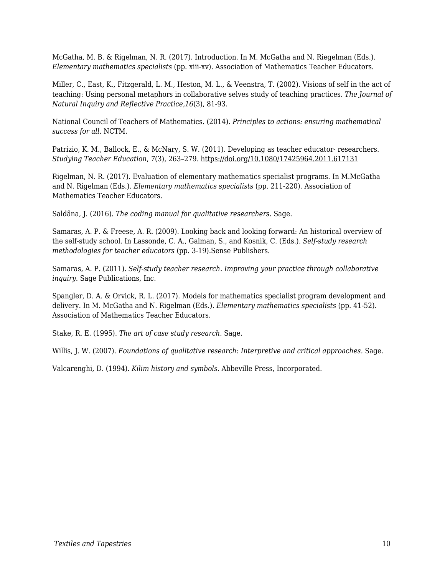McGatha, M. B. & Rigelman, N. R. (2017). Introduction. In M. McGatha and N. Riegelman (Eds.). *Elementary mathematics specialists* (pp. xiii-xv). Association of Mathematics Teacher Educators.

Miller, C., East, K., Fitzgerald, L. M., Heston, M. L., & Veenstra, T. (2002). Visions of self in the act of teaching: Using personal metaphors in collaborative selves study of teaching practices. *The Journal of Natural Inquiry and Reflective Practice,16*(3), 81-93.

National Council of Teachers of Mathematics. (2014). *Principles to actions: ensuring mathematical success for all*. NCTM.

Patrizio, K. M., Ballock, E., & McNary, S. W. (2011). Developing as teacher educator- researchers. *Studying Teacher Education*, *7*(3), 263–279. https://doi.org/10.1080/17425964.2011.617131

Rigelman, N. R. (2017). Evaluation of elementary mathematics specialist programs. In M.McGatha and N. Rigelman (Eds.). *Elementary mathematics specialists* (pp. 211-220). Association of Mathematics Teacher Educators.

Saldãna, J. (2016). *The coding manual for qualitative researchers*. Sage.

Samaras, A. P. & Freese, A. R. (2009). Looking back and looking forward: An historical overview of the self-study school. In Lassonde, C. A., Galman, S., and Kosnik, C. (Eds.). *Self-study research methodologies for teacher educators* (pp. 3-19).Sense Publishers.

Samaras, A. P. (2011). *Self-study teacher research. Improving your practice through collaborative inquiry.* Sage Publications, Inc.

Spangler, D. A. & Orvick, R. L. (2017). Models for mathematics specialist program development and delivery. In M. McGatha and N. Rigelman (Eds.). *Elementary mathematics specialists* (pp. 41-52). Association of Mathematics Teacher Educators.

Stake, R. E. (1995). *The art of case study research.* Sage.

Willis, J. W. (2007). *Foundations of qualitative research: Interpretive and critical approaches.* Sage.

Valcarenghi, D. (1994). *Kilim history and symbols*. Abbeville Press, Incorporated.